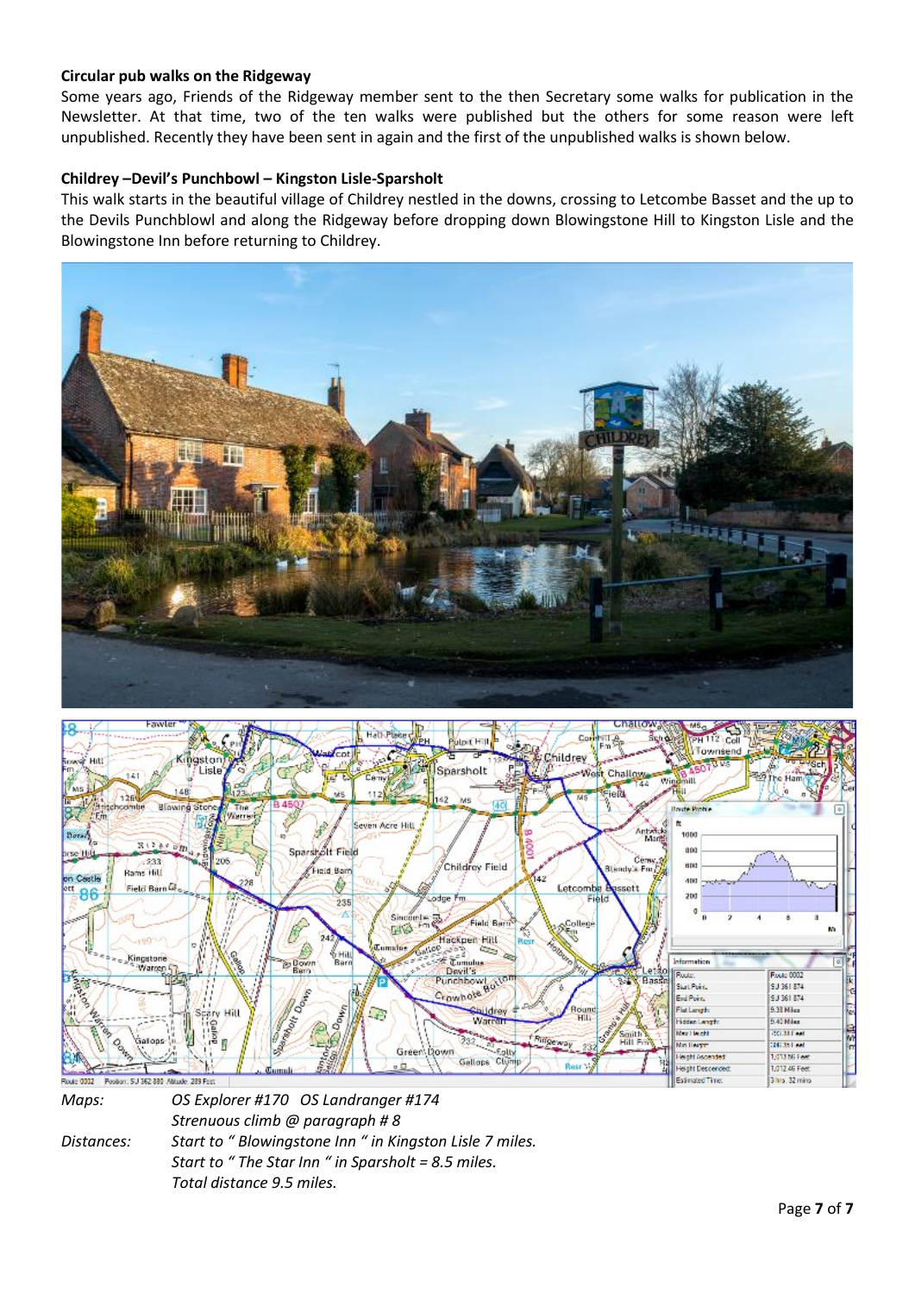## Circular pub walks on the Ridgeway

Some years ago, Friends of the Ridgeway member sent to the then Secretary some walks for publication in the Newsletter. At that time, two of the ten walks were published but the others for some reason were left unpublished. Recently they have been sent in again and the first of the unpublished walks is shown below.

## Childrey –Devil's Punchbowl – Kingston Lisle-Sparsholt

This walk starts in the beautiful village of Childrey nestled in the downs, crossing to Letcombe Basset and the up to the Devils Punchblowl and along the Ridgeway before dropping down Blowingstone Hill to Kingston Lisle and the Blowingstone Inn before returning to Childrey.





Maps: OS Explorer #170 OS Landranger #174 Strenuous climb @ paragraph # 8 Distances: Start to " Blowingstone Inn " in Kingston Lisle 7 miles. Start to " The Star Inn " in Sparsholt = 8.5 miles. Total distance 9.5 miles.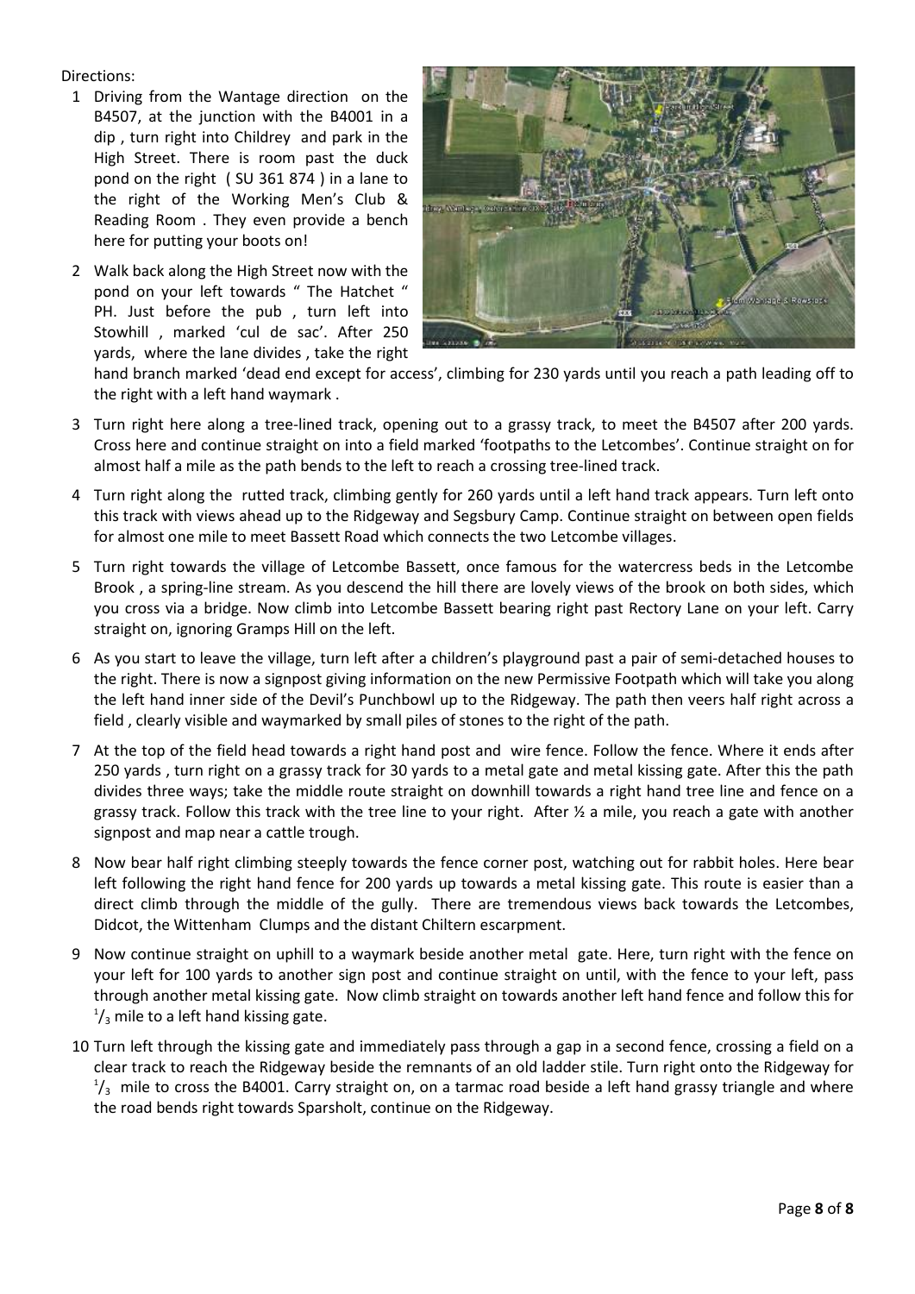Directions:

- 1 Driving from the Wantage direction on the B4507, at the junction with the B4001 in a dip , turn right into Childrey and park in the High Street. There is room past the duck pond on the right ( SU 361 874 ) in a lane to the right of the Working Men's Club & Reading Room . They even provide a bench here for putting your boots on!
- 2 Walk back along the High Street now with the pond on your left towards " The Hatchet " PH. Just before the pub , turn left into Stowhill , marked 'cul de sac'. After 250 yards, where the lane divides , take the right



hand branch marked 'dead end except for access', climbing for 230 yards until you reach a path leading off to the right with a left hand waymark .

- 3 Turn right here along a tree-lined track, opening out to a grassy track, to meet the B4507 after 200 yards. Cross here and continue straight on into a field marked 'footpaths to the Letcombes'. Continue straight on for almost half a mile as the path bends to the left to reach a crossing tree-lined track.
- 4 Turn right along the rutted track, climbing gently for 260 yards until a left hand track appears. Turn left onto this track with views ahead up to the Ridgeway and Segsbury Camp. Continue straight on between open fields for almost one mile to meet Bassett Road which connects the two Letcombe villages.
- 5 Turn right towards the village of Letcombe Bassett, once famous for the watercress beds in the Letcombe Brook , a spring-line stream. As you descend the hill there are lovely views of the brook on both sides, which you cross via a bridge. Now climb into Letcombe Bassett bearing right past Rectory Lane on your left. Carry straight on, ignoring Gramps Hill on the left.
- 6 As you start to leave the village, turn left after a children's playground past a pair of semi-detached houses to the right. There is now a signpost giving information on the new Permissive Footpath which will take you along the left hand inner side of the Devil's Punchbowl up to the Ridgeway. The path then veers half right across a field , clearly visible and waymarked by small piles of stones to the right of the path.
- 7 At the top of the field head towards a right hand post and wire fence. Follow the fence. Where it ends after 250 yards , turn right on a grassy track for 30 yards to a metal gate and metal kissing gate. After this the path divides three ways; take the middle route straight on downhill towards a right hand tree line and fence on a grassy track. Follow this track with the tree line to your right. After ½ a mile, you reach a gate with another signpost and map near a cattle trough.
- 8 Now bear half right climbing steeply towards the fence corner post, watching out for rabbit holes. Here bear left following the right hand fence for 200 yards up towards a metal kissing gate. This route is easier than a direct climb through the middle of the gully. There are tremendous views back towards the Letcombes, Didcot, the Wittenham Clumps and the distant Chiltern escarpment.
- 9 Now continue straight on uphill to a waymark beside another metal gate. Here, turn right with the fence on your left for 100 yards to another sign post and continue straight on until, with the fence to your left, pass through another metal kissing gate. Now climb straight on towards another left hand fence and follow this for  $\frac{1}{3}$  mile to a left hand kissing gate.
- 10 Turn left through the kissing gate and immediately pass through a gap in a second fence, crossing a field on a clear track to reach the Ridgeway beside the remnants of an old ladder stile. Turn right onto the Ridgeway for  $\frac{1}{3}$  mile to cross the B4001. Carry straight on, on a tarmac road beside a left hand grassy triangle and where the road bends right towards Sparsholt, continue on the Ridgeway.